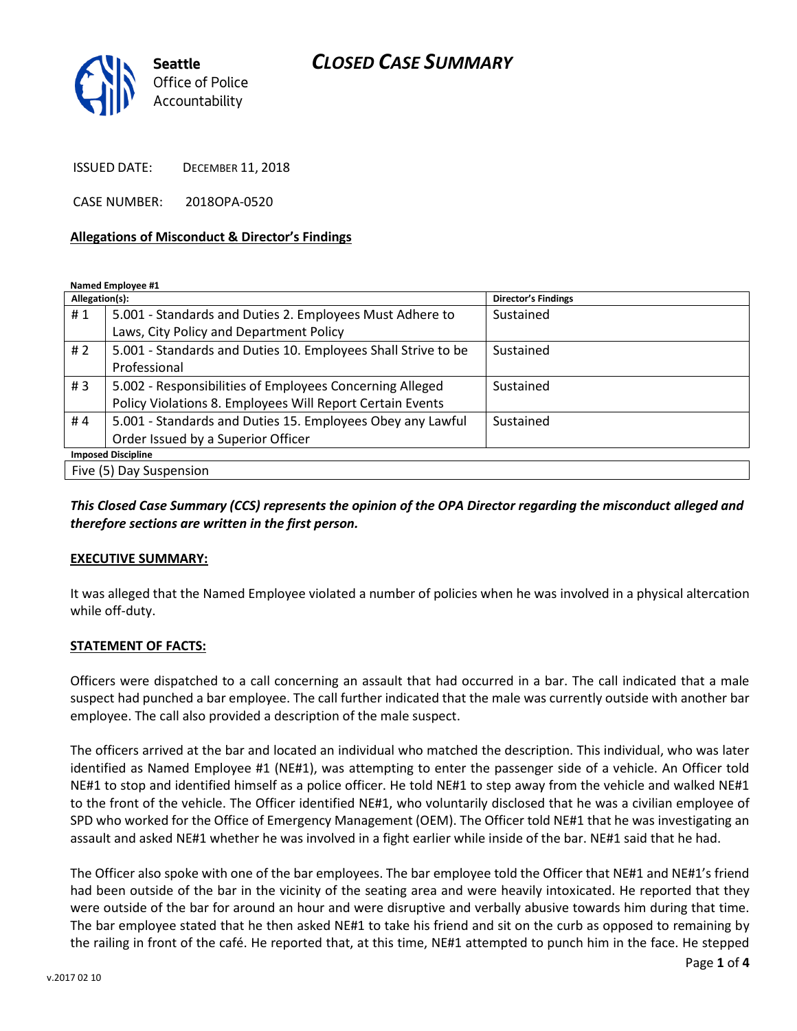## *CLOSED CASE SUMMARY*



ISSUED DATE: DECEMBER 11, 2018

CASE NUMBER: 2018OPA-0520

#### **Allegations of Misconduct & Director's Findings**

**Named Employee #1**

| Allegation(s):            |                                                               | <b>Director's Findings</b> |
|---------------------------|---------------------------------------------------------------|----------------------------|
| #1                        | 5.001 - Standards and Duties 2. Employees Must Adhere to      | Sustained                  |
|                           | Laws, City Policy and Department Policy                       |                            |
| #2                        | 5.001 - Standards and Duties 10. Employees Shall Strive to be | Sustained                  |
|                           | Professional                                                  |                            |
| #3                        | 5.002 - Responsibilities of Employees Concerning Alleged      | Sustained                  |
|                           | Policy Violations 8. Employees Will Report Certain Events     |                            |
| #4                        | 5.001 - Standards and Duties 15. Employees Obey any Lawful    | Sustained                  |
|                           | Order Issued by a Superior Officer                            |                            |
| <b>Imposed Discipline</b> |                                                               |                            |
| Five (5) Day Suspension   |                                                               |                            |

### *This Closed Case Summary (CCS) represents the opinion of the OPA Director regarding the misconduct alleged and therefore sections are written in the first person.*

#### **EXECUTIVE SUMMARY:**

It was alleged that the Named Employee violated a number of policies when he was involved in a physical altercation while off-duty.

#### **STATEMENT OF FACTS:**

Officers were dispatched to a call concerning an assault that had occurred in a bar. The call indicated that a male suspect had punched a bar employee. The call further indicated that the male was currently outside with another bar employee. The call also provided a description of the male suspect.

The officers arrived at the bar and located an individual who matched the description. This individual, who was later identified as Named Employee #1 (NE#1), was attempting to enter the passenger side of a vehicle. An Officer told NE#1 to stop and identified himself as a police officer. He told NE#1 to step away from the vehicle and walked NE#1 to the front of the vehicle. The Officer identified NE#1, who voluntarily disclosed that he was a civilian employee of SPD who worked for the Office of Emergency Management (OEM). The Officer told NE#1 that he was investigating an assault and asked NE#1 whether he was involved in a fight earlier while inside of the bar. NE#1 said that he had.

The Officer also spoke with one of the bar employees. The bar employee told the Officer that NE#1 and NE#1's friend had been outside of the bar in the vicinity of the seating area and were heavily intoxicated. He reported that they were outside of the bar for around an hour and were disruptive and verbally abusive towards him during that time. The bar employee stated that he then asked NE#1 to take his friend and sit on the curb as opposed to remaining by the railing in front of the café. He reported that, at this time, NE#1 attempted to punch him in the face. He stepped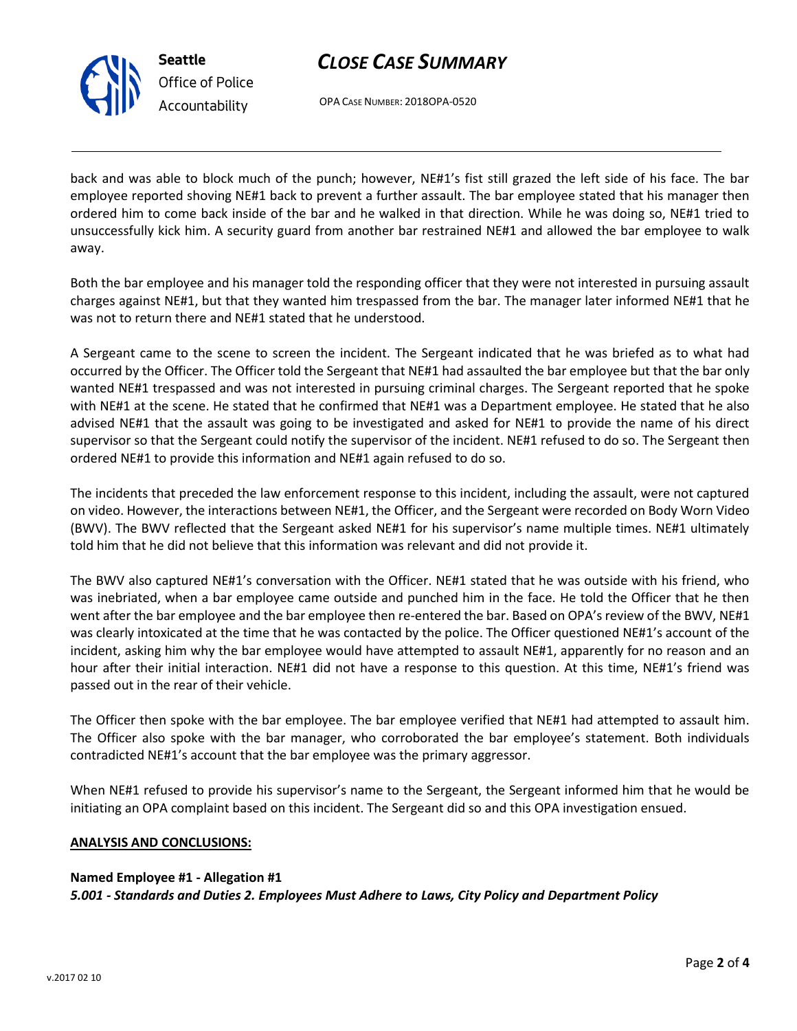# *CLOSE CASE SUMMARY*

OPA CASE NUMBER: 2018OPA-0520

back and was able to block much of the punch; however, NE#1's fist still grazed the left side of his face. The bar employee reported shoving NE#1 back to prevent a further assault. The bar employee stated that his manager then ordered him to come back inside of the bar and he walked in that direction. While he was doing so, NE#1 tried to unsuccessfully kick him. A security guard from another bar restrained NE#1 and allowed the bar employee to walk away.

Both the bar employee and his manager told the responding officer that they were not interested in pursuing assault charges against NE#1, but that they wanted him trespassed from the bar. The manager later informed NE#1 that he was not to return there and NE#1 stated that he understood.

A Sergeant came to the scene to screen the incident. The Sergeant indicated that he was briefed as to what had occurred by the Officer. The Officer told the Sergeant that NE#1 had assaulted the bar employee but that the bar only wanted NE#1 trespassed and was not interested in pursuing criminal charges. The Sergeant reported that he spoke with NE#1 at the scene. He stated that he confirmed that NE#1 was a Department employee. He stated that he also advised NE#1 that the assault was going to be investigated and asked for NE#1 to provide the name of his direct supervisor so that the Sergeant could notify the supervisor of the incident. NE#1 refused to do so. The Sergeant then ordered NE#1 to provide this information and NE#1 again refused to do so.

The incidents that preceded the law enforcement response to this incident, including the assault, were not captured on video. However, the interactions between NE#1, the Officer, and the Sergeant were recorded on Body Worn Video (BWV). The BWV reflected that the Sergeant asked NE#1 for his supervisor's name multiple times. NE#1 ultimately told him that he did not believe that this information was relevant and did not provide it.

The BWV also captured NE#1's conversation with the Officer. NE#1 stated that he was outside with his friend, who was inebriated, when a bar employee came outside and punched him in the face. He told the Officer that he then went after the bar employee and the bar employee then re-entered the bar. Based on OPA's review of the BWV, NE#1 was clearly intoxicated at the time that he was contacted by the police. The Officer questioned NE#1's account of the incident, asking him why the bar employee would have attempted to assault NE#1, apparently for no reason and an hour after their initial interaction. NE#1 did not have a response to this question. At this time, NE#1's friend was passed out in the rear of their vehicle.

The Officer then spoke with the bar employee. The bar employee verified that NE#1 had attempted to assault him. The Officer also spoke with the bar manager, who corroborated the bar employee's statement. Both individuals contradicted NE#1's account that the bar employee was the primary aggressor.

When NE#1 refused to provide his supervisor's name to the Sergeant, the Sergeant informed him that he would be initiating an OPA complaint based on this incident. The Sergeant did so and this OPA investigation ensued.

### **ANALYSIS AND CONCLUSIONS:**

**Named Employee #1 - Allegation #1** *5.001 - Standards and Duties 2. Employees Must Adhere to Laws, City Policy and Department Policy*



**Seattle**

*Office of Police Accountability*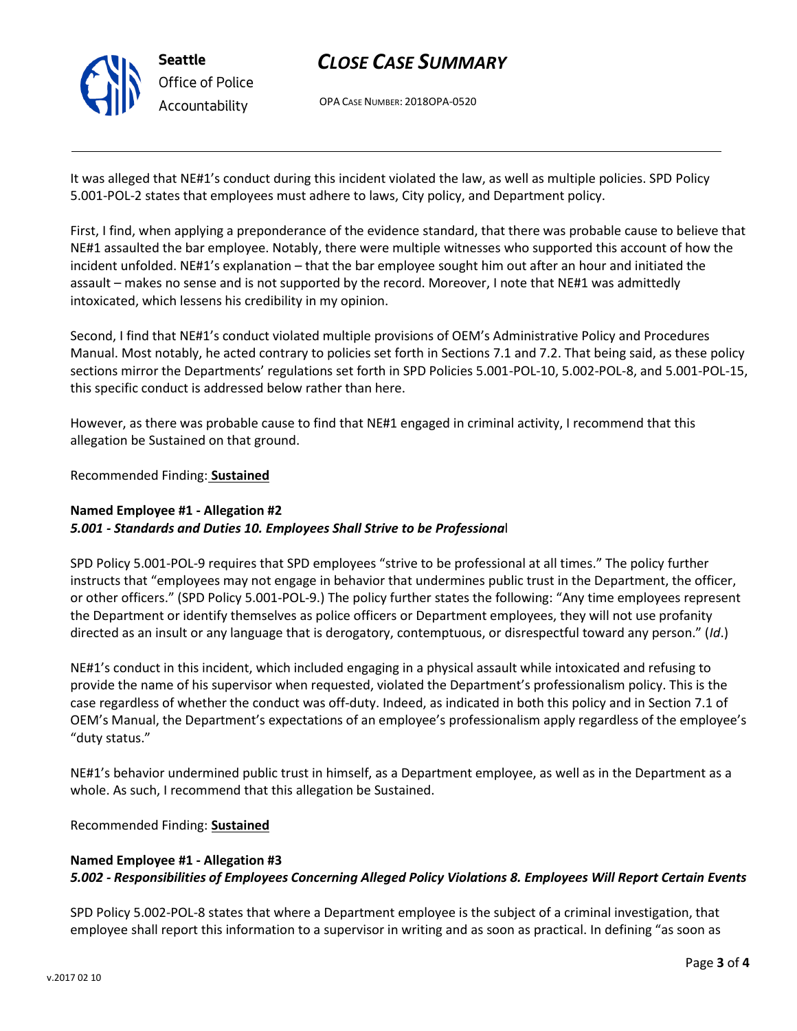

# *CLOSE CASE SUMMARY*

OPA CASE NUMBER: 2018OPA-0520

It was alleged that NE#1's conduct during this incident violated the law, as well as multiple policies. SPD Policy 5.001-POL-2 states that employees must adhere to laws, City policy, and Department policy.

First, I find, when applying a preponderance of the evidence standard, that there was probable cause to believe that NE#1 assaulted the bar employee. Notably, there were multiple witnesses who supported this account of how the incident unfolded. NE#1's explanation – that the bar employee sought him out after an hour and initiated the assault – makes no sense and is not supported by the record. Moreover, I note that NE#1 was admittedly intoxicated, which lessens his credibility in my opinion.

Second, I find that NE#1's conduct violated multiple provisions of OEM's Administrative Policy and Procedures Manual. Most notably, he acted contrary to policies set forth in Sections 7.1 and 7.2. That being said, as these policy sections mirror the Departments' regulations set forth in SPD Policies 5.001-POL-10, 5.002-POL-8, and 5.001-POL-15, this specific conduct is addressed below rather than here.

However, as there was probable cause to find that NE#1 engaged in criminal activity, I recommend that this allegation be Sustained on that ground.

Recommended Finding: **Sustained**

### **Named Employee #1 - Allegation #2** *5.001 - Standards and Duties 10. Employees Shall Strive to be Professiona*l

SPD Policy 5.001-POL-9 requires that SPD employees "strive to be professional at all times." The policy further instructs that "employees may not engage in behavior that undermines public trust in the Department, the officer, or other officers." (SPD Policy 5.001-POL-9.) The policy further states the following: "Any time employees represent the Department or identify themselves as police officers or Department employees, they will not use profanity directed as an insult or any language that is derogatory, contemptuous, or disrespectful toward any person." (*Id*.)

NE#1's conduct in this incident, which included engaging in a physical assault while intoxicated and refusing to provide the name of his supervisor when requested, violated the Department's professionalism policy. This is the case regardless of whether the conduct was off-duty. Indeed, as indicated in both this policy and in Section 7.1 of OEM's Manual, the Department's expectations of an employee's professionalism apply regardless of the employee's "duty status."

NE#1's behavior undermined public trust in himself, as a Department employee, as well as in the Department as a whole. As such, I recommend that this allegation be Sustained.

Recommended Finding: **Sustained**

#### **Named Employee #1 - Allegation #3** *5.002 - Responsibilities of Employees Concerning Alleged Policy Violations 8. Employees Will Report Certain Events*

SPD Policy 5.002-POL-8 states that where a Department employee is the subject of a criminal investigation, that employee shall report this information to a supervisor in writing and as soon as practical. In defining "as soon as